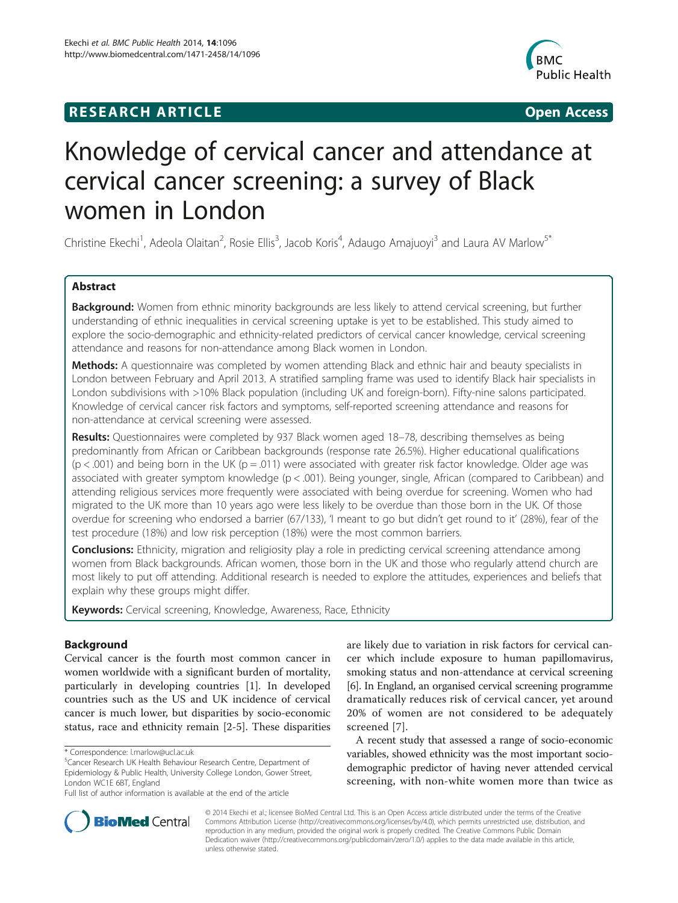## **RESEARCH ARTICLE Example 2014 12:30 The SEAR CHIPS 2014 12:30 The Open Access**



# Knowledge of cervical cancer and attendance at cervical cancer screening: a survey of Black women in London

Christine Ekechi<sup>1</sup>, Adeola Olaitan<sup>2</sup>, Rosie Ellis<sup>3</sup>, Jacob Koris<sup>4</sup>, Adaugo Amajuoyi<sup>3</sup> and Laura AV Marlow<sup>5\*</sup>

## Abstract

Background: Women from ethnic minority backgrounds are less likely to attend cervical screening, but further understanding of ethnic inequalities in cervical screening uptake is yet to be established. This study aimed to explore the socio-demographic and ethnicity-related predictors of cervical cancer knowledge, cervical screening attendance and reasons for non-attendance among Black women in London.

Methods: A questionnaire was completed by women attending Black and ethnic hair and beauty specialists in London between February and April 2013. A stratified sampling frame was used to identify Black hair specialists in London subdivisions with >10% Black population (including UK and foreign-born). Fifty-nine salons participated. Knowledge of cervical cancer risk factors and symptoms, self-reported screening attendance and reasons for non-attendance at cervical screening were assessed.

Results: Questionnaires were completed by 937 Black women aged 18–78, describing themselves as being predominantly from African or Caribbean backgrounds (response rate 26.5%). Higher educational qualifications  $(p < .001)$  and being born in the UK ( $p = .011$ ) were associated with greater risk factor knowledge. Older age was associated with greater symptom knowledge (p < .001). Being younger, single, African (compared to Caribbean) and attending religious services more frequently were associated with being overdue for screening. Women who had migrated to the UK more than 10 years ago were less likely to be overdue than those born in the UK. Of those overdue for screening who endorsed a barrier (67/133), 'I meant to go but didn't get round to it' (28%), fear of the test procedure (18%) and low risk perception (18%) were the most common barriers.

**Conclusions:** Ethnicity, migration and religiosity play a role in predicting cervical screening attendance among women from Black backgrounds. African women, those born in the UK and those who regularly attend church are most likely to put off attending. Additional research is needed to explore the attitudes, experiences and beliefs that explain why these groups might differ.

**Keywords:** Cervical screening, Knowledge, Awareness, Race, Ethnicity

## **Background**

Cervical cancer is the fourth most common cancer in women worldwide with a significant burden of mortality, particularly in developing countries [\[1\]](#page-7-0). In developed countries such as the US and UK incidence of cervical cancer is much lower, but disparities by socio-economic status, race and ethnicity remain [\[2](#page-7-0)-[5\]](#page-8-0). These disparities

are likely due to variation in risk factors for cervical cancer which include exposure to human papillomavirus, smoking status and non-attendance at cervical screening [[6](#page-8-0)]. In England, an organised cervical screening programme dramatically reduces risk of cervical cancer, yet around 20% of women are not considered to be adequately screened [[7](#page-8-0)].

A recent study that assessed a range of socio-economic variables, showed ethnicity was the most important sociodemographic predictor of having never attended cervical screening, with non-white women more than twice as



© 2014 Ekechi et al.; licensee BioMed Central Ltd. This is an Open Access article distributed under the terms of the Creative Commons Attribution License [\(http://creativecommons.org/licenses/by/4.0\)](http://creativecommons.org/licenses/by/4.0), which permits unrestricted use, distribution, and reproduction in any medium, provided the original work is properly credited. The Creative Commons Public Domain Dedication waiver [\(http://creativecommons.org/publicdomain/zero/1.0/](http://creativecommons.org/publicdomain/zero/1.0/)) applies to the data made available in this article, unless otherwise stated.

<sup>\*</sup> Correspondence: [l.marlow@ucl.ac.uk](mailto:l.marlow@ucl.ac.uk) <sup>5</sup>

Cancer Research UK Health Behaviour Research Centre, Department of Epidemiology & Public Health, University College London, Gower Street, London WC1E 6BT, England

Full list of author information is available at the end of the article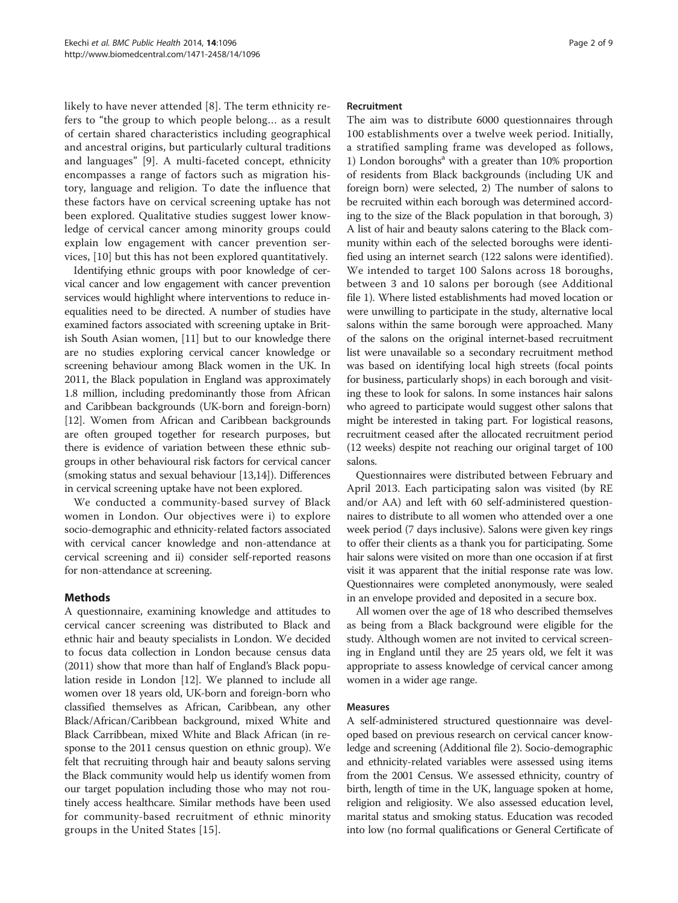likely to have never attended [[8\]](#page-8-0). The term ethnicity refers to "the group to which people belong… as a result of certain shared characteristics including geographical and ancestral origins, but particularly cultural traditions and languages" [\[9](#page-8-0)]. A multi-faceted concept, ethnicity encompasses a range of factors such as migration history, language and religion. To date the influence that these factors have on cervical screening uptake has not been explored. Qualitative studies suggest lower knowledge of cervical cancer among minority groups could explain low engagement with cancer prevention services, [\[10](#page-8-0)] but this has not been explored quantitatively.

Identifying ethnic groups with poor knowledge of cervical cancer and low engagement with cancer prevention services would highlight where interventions to reduce inequalities need to be directed. A number of studies have examined factors associated with screening uptake in British South Asian women, [\[11](#page-8-0)] but to our knowledge there are no studies exploring cervical cancer knowledge or screening behaviour among Black women in the UK. In 2011, the Black population in England was approximately 1.8 million, including predominantly those from African and Caribbean backgrounds (UK-born and foreign-born) [[12](#page-8-0)]. Women from African and Caribbean backgrounds are often grouped together for research purposes, but there is evidence of variation between these ethnic subgroups in other behavioural risk factors for cervical cancer (smoking status and sexual behaviour [\[13,14](#page-8-0)]). Differences in cervical screening uptake have not been explored.

We conducted a community-based survey of Black women in London. Our objectives were i) to explore socio-demographic and ethnicity-related factors associated with cervical cancer knowledge and non-attendance at cervical screening and ii) consider self-reported reasons for non-attendance at screening.

## Methods

A questionnaire, examining knowledge and attitudes to cervical cancer screening was distributed to Black and ethnic hair and beauty specialists in London. We decided to focus data collection in London because census data (2011) show that more than half of England's Black population reside in London [[12](#page-8-0)]. We planned to include all women over 18 years old, UK-born and foreign-born who classified themselves as African, Caribbean, any other Black/African/Caribbean background, mixed White and Black Carribbean, mixed White and Black African (in response to the 2011 census question on ethnic group). We felt that recruiting through hair and beauty salons serving the Black community would help us identify women from our target population including those who may not routinely access healthcare. Similar methods have been used for community-based recruitment of ethnic minority groups in the United States [[15](#page-8-0)].

#### Recruitment

The aim was to distribute 6000 questionnaires through 100 establishments over a twelve week period. Initially, a stratified sampling frame was developed as follows, 1) London boroughs<sup>a</sup> with a greater than  $10\%$  proportion of residents from Black backgrounds (including UK and foreign born) were selected, 2) The number of salons to be recruited within each borough was determined according to the size of the Black population in that borough, 3) A list of hair and beauty salons catering to the Black community within each of the selected boroughs were identified using an internet search (122 salons were identified). We intended to target 100 Salons across 18 boroughs, between 3 and 10 salons per borough (see Additional file [1](#page-7-0)). Where listed establishments had moved location or were unwilling to participate in the study, alternative local salons within the same borough were approached. Many of the salons on the original internet-based recruitment list were unavailable so a secondary recruitment method was based on identifying local high streets (focal points for business, particularly shops) in each borough and visiting these to look for salons. In some instances hair salons who agreed to participate would suggest other salons that might be interested in taking part. For logistical reasons, recruitment ceased after the allocated recruitment period (12 weeks) despite not reaching our original target of 100 salons.

Questionnaires were distributed between February and April 2013. Each participating salon was visited (by RE and/or AA) and left with 60 self-administered questionnaires to distribute to all women who attended over a one week period (7 days inclusive). Salons were given key rings to offer their clients as a thank you for participating. Some hair salons were visited on more than one occasion if at first visit it was apparent that the initial response rate was low. Questionnaires were completed anonymously, were sealed in an envelope provided and deposited in a secure box.

All women over the age of 18 who described themselves as being from a Black background were eligible for the study. Although women are not invited to cervical screening in England until they are 25 years old, we felt it was appropriate to assess knowledge of cervical cancer among women in a wider age range.

#### Measures

A self-administered structured questionnaire was developed based on previous research on cervical cancer knowledge and screening (Additional file [2\)](#page-7-0). Socio-demographic and ethnicity-related variables were assessed using items from the 2001 Census. We assessed ethnicity, country of birth, length of time in the UK, language spoken at home, religion and religiosity. We also assessed education level, marital status and smoking status. Education was recoded into low (no formal qualifications or General Certificate of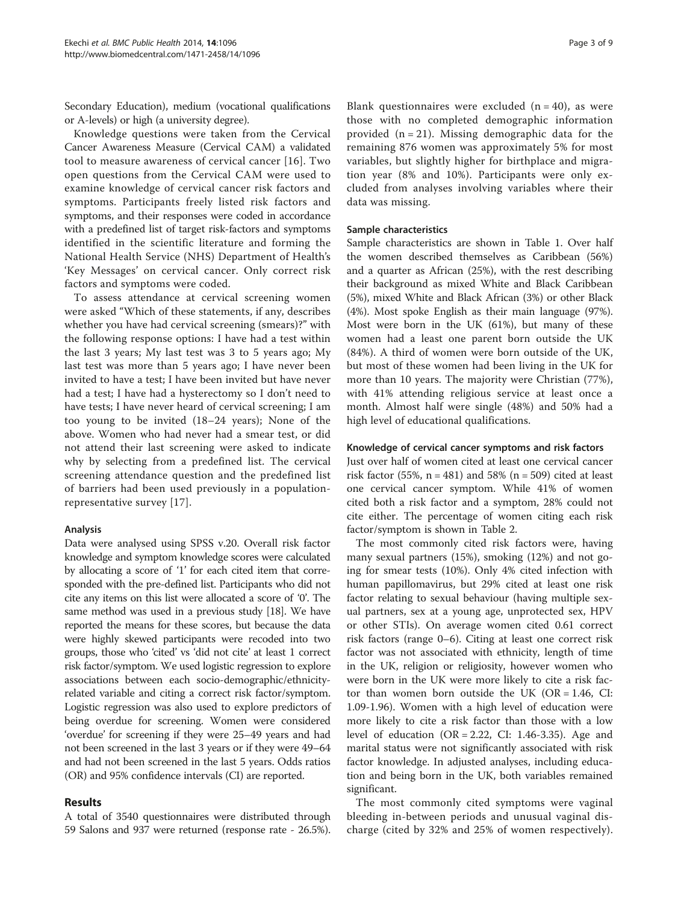Secondary Education), medium (vocational qualifications or A-levels) or high (a university degree).

Knowledge questions were taken from the Cervical Cancer Awareness Measure (Cervical CAM) a validated tool to measure awareness of cervical cancer [[16](#page-8-0)]. Two open questions from the Cervical CAM were used to examine knowledge of cervical cancer risk factors and symptoms. Participants freely listed risk factors and symptoms, and their responses were coded in accordance with a predefined list of target risk-factors and symptoms identified in the scientific literature and forming the National Health Service (NHS) Department of Health's 'Key Messages' on cervical cancer. Only correct risk factors and symptoms were coded.

To assess attendance at cervical screening women were asked "Which of these statements, if any, describes whether you have had cervical screening (smears)?" with the following response options: I have had a test within the last 3 years; My last test was 3 to 5 years ago; My last test was more than 5 years ago; I have never been invited to have a test; I have been invited but have never had a test; I have had a hysterectomy so I don't need to have tests; I have never heard of cervical screening; I am too young to be invited (18–24 years); None of the above. Women who had never had a smear test, or did not attend their last screening were asked to indicate why by selecting from a predefined list. The cervical screening attendance question and the predefined list of barriers had been used previously in a populationrepresentative survey [[17\]](#page-8-0).

#### Analysis

Data were analysed using SPSS v.20. Overall risk factor knowledge and symptom knowledge scores were calculated by allocating a score of '1' for each cited item that corresponded with the pre-defined list. Participants who did not cite any items on this list were allocated a score of '0'. The same method was used in a previous study [\[18\]](#page-8-0). We have reported the means for these scores, but because the data were highly skewed participants were recoded into two groups, those who 'cited' vs 'did not cite' at least 1 correct risk factor/symptom. We used logistic regression to explore associations between each socio-demographic/ethnicityrelated variable and citing a correct risk factor/symptom. Logistic regression was also used to explore predictors of being overdue for screening. Women were considered 'overdue' for screening if they were 25–49 years and had not been screened in the last 3 years or if they were 49–64 and had not been screened in the last 5 years. Odds ratios (OR) and 95% confidence intervals (CI) are reported.

## Results

A total of 3540 questionnaires were distributed through 59 Salons and 937 were returned (response rate - 26.5%).

Blank questionnaires were excluded  $(n = 40)$ , as were those with no completed demographic information provided  $(n = 21)$ . Missing demographic data for the remaining 876 women was approximately 5% for most variables, but slightly higher for birthplace and migration year (8% and 10%). Participants were only excluded from analyses involving variables where their data was missing.

## Sample characteristics

Sample characteristics are shown in Table [1](#page-3-0). Over half the women described themselves as Caribbean (56%) and a quarter as African (25%), with the rest describing their background as mixed White and Black Caribbean (5%), mixed White and Black African (3%) or other Black (4%). Most spoke English as their main language (97%). Most were born in the UK (61%), but many of these women had a least one parent born outside the UK (84%). A third of women were born outside of the UK, but most of these women had been living in the UK for more than 10 years. The majority were Christian (77%), with 41% attending religious service at least once a month. Almost half were single (48%) and 50% had a high level of educational qualifications.

#### Knowledge of cervical cancer symptoms and risk factors

Just over half of women cited at least one cervical cancer risk factor (55%,  $n = 481$ ) and 58% ( $n = 509$ ) cited at least one cervical cancer symptom. While 41% of women cited both a risk factor and a symptom, 28% could not cite either. The percentage of women citing each risk factor/symptom is shown in Table [2](#page-4-0).

The most commonly cited risk factors were, having many sexual partners (15%), smoking (12%) and not going for smear tests (10%). Only 4% cited infection with human papillomavirus, but 29% cited at least one risk factor relating to sexual behaviour (having multiple sexual partners, sex at a young age, unprotected sex, HPV or other STIs). On average women cited 0.61 correct risk factors (range 0–6). Citing at least one correct risk factor was not associated with ethnicity, length of time in the UK, religion or religiosity, however women who were born in the UK were more likely to cite a risk factor than women born outside the UK (OR =  $1.46$ , CI: 1.09-1.96). Women with a high level of education were more likely to cite a risk factor than those with a low level of education (OR = 2.22, CI: 1.46-3.35). Age and marital status were not significantly associated with risk factor knowledge. In adjusted analyses, including education and being born in the UK, both variables remained significant.

The most commonly cited symptoms were vaginal bleeding in-between periods and unusual vaginal discharge (cited by 32% and 25% of women respectively).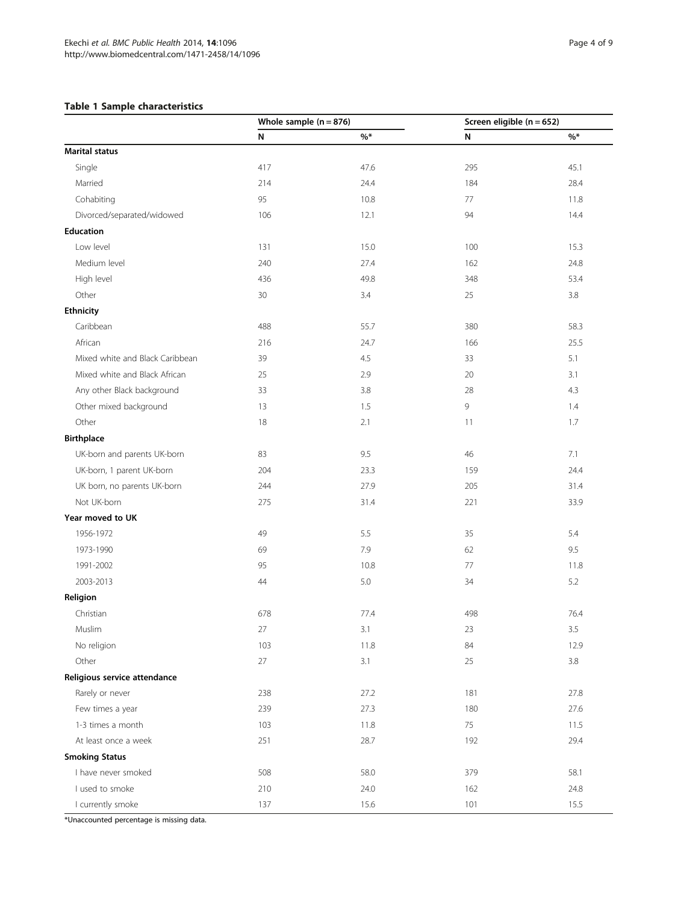## <span id="page-3-0"></span>Table 1 Sample characteristics

|                                 | Whole sample $(n = 876)$ |       | Screen eligible ( $n = 652$ ) |         |  |
|---------------------------------|--------------------------|-------|-------------------------------|---------|--|
|                                 | N                        | $%$ * | N                             | $%$ *   |  |
| <b>Marital status</b>           |                          |       |                               |         |  |
| Single                          | 417                      | 47.6  | 295                           | 45.1    |  |
| Married                         | 214                      | 24.4  | 184                           | 28.4    |  |
| Cohabiting                      | 95                       | 10.8  | 77                            | 11.8    |  |
| Divorced/separated/widowed      | 106                      | 12.1  | 94                            | 14.4    |  |
| <b>Education</b>                |                          |       |                               |         |  |
| Low level                       | 131                      | 15.0  | 100                           | 15.3    |  |
| Medium level                    | 240                      | 27.4  | 162                           | 24.8    |  |
| High level                      | 436                      | 49.8  | 348                           | 53.4    |  |
| Other                           | 30                       | 3.4   | 25                            | 3.8     |  |
| <b>Ethnicity</b>                |                          |       |                               |         |  |
| Caribbean                       | 488                      | 55.7  | 380                           | 58.3    |  |
| African                         | 216                      | 24.7  | 166                           | 25.5    |  |
| Mixed white and Black Caribbean | 39                       | 4.5   | 33                            | 5.1     |  |
| Mixed white and Black African   | 25                       | 2.9   | 20                            | 3.1     |  |
| Any other Black background      | 33                       | 3.8   | 28                            | 4.3     |  |
| Other mixed background          | 13                       | 1.5   | 9                             | 1.4     |  |
| Other                           | 18                       | 2.1   | 11                            | 1.7     |  |
| <b>Birthplace</b>               |                          |       |                               |         |  |
| UK-born and parents UK-born     | 83                       | 9.5   | 46                            | 7.1     |  |
| UK-born, 1 parent UK-born       | 204                      | 23.3  | 159                           | 24.4    |  |
| UK born, no parents UK-born     | 244                      | 27.9  | 205                           | 31.4    |  |
| Not UK-born                     | 275                      | 31.4  | 221                           | 33.9    |  |
| Year moved to UK                |                          |       |                               |         |  |
| 1956-1972                       | 49                       | 5.5   | 35                            | 5.4     |  |
| 1973-1990                       | 69                       | 7.9   | 62                            | 9.5     |  |
| 1991-2002                       | 95                       | 10.8  | 77                            | 11.8    |  |
| 2003-2013                       | 44                       | 5.0   | 34                            | 5.2     |  |
| Religion                        |                          |       |                               |         |  |
| Christian                       | 678                      | 77.4  | 498                           | 76.4    |  |
| Muslim                          | 27                       | 3.1   | 23                            | 3.5     |  |
| No religion                     | 103                      | 11.8  | 84                            | 12.9    |  |
| Other                           | $27\,$                   | 3.1   | 25                            | $3.8\,$ |  |
| Religious service attendance    |                          |       |                               |         |  |
| Rarely or never                 | 238                      | 27.2  | 181                           | 27.8    |  |
| Few times a year                | 239                      | 27.3  | 180                           | 27.6    |  |
| 1-3 times a month               | 103                      | 11.8  | 75                            | 11.5    |  |
| At least once a week            | 251                      | 28.7  | 192                           | 29.4    |  |
| <b>Smoking Status</b>           |                          |       |                               |         |  |
| I have never smoked             | 508                      | 58.0  | 379                           | 58.1    |  |
| I used to smoke                 | 210                      | 24.0  | 162                           | 24.8    |  |
| I currently smoke               | 137                      | 15.6  | 101                           | 15.5    |  |

\*Unaccounted percentage is missing data.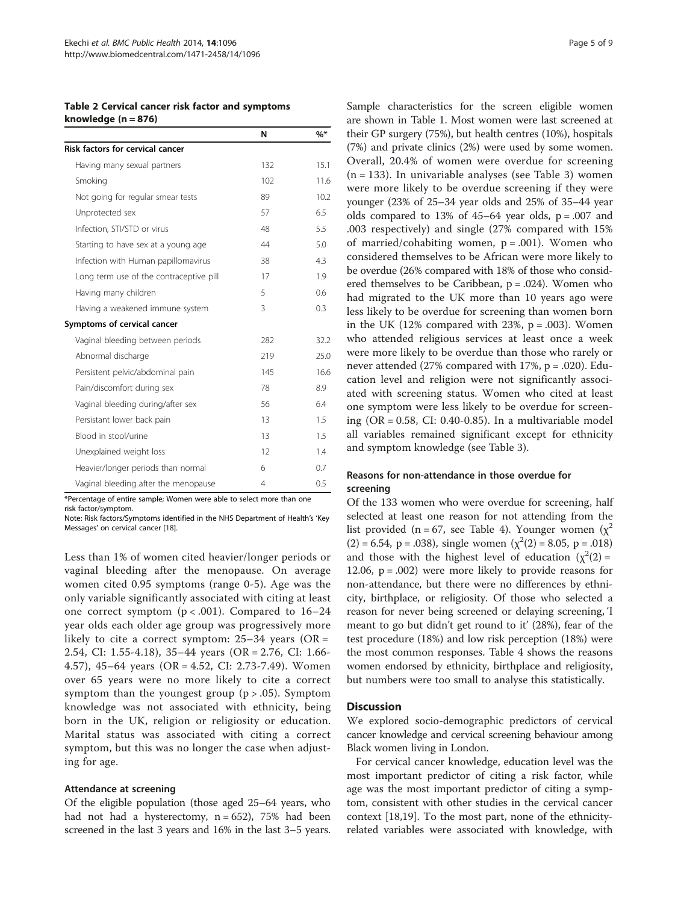<span id="page-4-0"></span>Table 2 Cervical cancer risk factor and symptoms knowledge  $(n = 876)$ 

|                                         | N              | $\%*$ |
|-----------------------------------------|----------------|-------|
| <b>Risk factors for cervical cancer</b> |                |       |
| Having many sexual partners             | 132            | 15.1  |
| Smoking                                 | 102            | 11.6  |
| Not going for regular smear tests       | 89             | 10.2  |
| Unprotected sex                         | 57             | 6.5   |
| Infection, STI/STD or virus             | 48             | 5.5   |
| Starting to have sex at a young age     | 44             | 5.0   |
| Infection with Human papillomavirus     | 38             | 4.3   |
| Long term use of the contraceptive pill | 17             | 1.9   |
| Having many children                    | 5              | 0.6   |
| Having a weakened immune system         | 3              | 0.3   |
| Symptoms of cervical cancer             |                |       |
| Vaginal bleeding between periods        | 282            | 322   |
| Abnormal discharge                      | 219            | 25.0  |
| Persistent pelvic/abdominal pain        | 145            | 16.6  |
| Pain/discomfort during sex              | 78             | 8.9   |
| Vaginal bleeding during/after sex       | 56             | 6.4   |
| Persistant lower back pain              | 13             | 1.5   |
| Blood in stool/urine                    | 13             | 1.5   |
| Unexplained weight loss                 | 12             | 1.4   |
| Heavier/longer periods than normal      | 6              | 0.7   |
| Vaginal bleeding after the menopause    | $\overline{4}$ | 0.5   |

\*Percentage of entire sample; Women were able to select more than one risk factor/symptom.

Note: Risk factors/Symptoms identified in the NHS Department of Health's 'Key Messages' on cervical cancer [[18\]](#page-8-0).

Less than 1% of women cited heavier/longer periods or vaginal bleeding after the menopause. On average women cited 0.95 symptoms (range 0-5). Age was the only variable significantly associated with citing at least one correct symptom  $(p < .001)$ . Compared to 16-24 year olds each older age group was progressively more likely to cite a correct symptom:  $25-34$  years (OR = 2.54, CI: 1.55-4.18), 35–44 years (OR = 2.76, CI: 1.66- 4.57), 45–64 years (OR = 4.52, CI: 2.73-7.49). Women over 65 years were no more likely to cite a correct symptom than the youngest group  $(p > .05)$ . Symptom knowledge was not associated with ethnicity, being born in the UK, religion or religiosity or education. Marital status was associated with citing a correct symptom, but this was no longer the case when adjusting for age.

#### Attendance at screening

Of the eligible population (those aged 25–64 years, who had not had a hysterectomy,  $n = 652$ ), 75% had been screened in the last 3 years and 16% in the last 3–5 years. Sample characteristics for the screen eligible women are shown in Table [1.](#page-3-0) Most women were last screened at their GP surgery (75%), but health centres (10%), hospitals (7%) and private clinics (2%) were used by some women. Overall, 20.4% of women were overdue for screening  $(n = 133)$ . In univariable analyses (see Table [3\)](#page-5-0) women were more likely to be overdue screening if they were younger (23% of 25–34 year olds and 25% of 35–44 year olds compared to 13% of  $45-64$  year olds,  $p = .007$  and .003 respectively) and single (27% compared with 15% of married/cohabiting women,  $p = .001$ ). Women who considered themselves to be African were more likely to be overdue (26% compared with 18% of those who considered themselves to be Caribbean,  $p = .024$ ). Women who had migrated to the UK more than 10 years ago were less likely to be overdue for screening than women born in the UK (12% compared with 23%,  $p = .003$ ). Women who attended religious services at least once a week were more likely to be overdue than those who rarely or never attended  $(27%$  compared with  $17%, p = .020$ ). Education level and religion were not significantly associated with screening status. Women who cited at least one symptom were less likely to be overdue for screening  $(OR = 0.58, CI: 0.40-0.85)$ . In a multivariable model all variables remained significant except for ethnicity and symptom knowledge (see Table [3](#page-5-0)).

## Reasons for non-attendance in those overdue for screening

Of the 133 women who were overdue for screening, half selected at least one reason for not attending from the list provided (n = 67, see Table [4\)](#page-6-0). Younger women ( $\chi^2$  $(2) = 6.54$ , p = .038), single women  $(\chi^2(2) = 8.05, p = .018)$ and those with the highest level of education  $(\chi^2(2) =$ 12.06,  $p = .002$ ) were more likely to provide reasons for non-attendance, but there were no differences by ethnicity, birthplace, or religiosity. Of those who selected a reason for never being screened or delaying screening, 'I meant to go but didn't get round to it' (28%), fear of the test procedure (18%) and low risk perception (18%) were the most common responses. Table [4](#page-6-0) shows the reasons women endorsed by ethnicity, birthplace and religiosity, but numbers were too small to analyse this statistically.

#### **Discussion**

We explored socio-demographic predictors of cervical cancer knowledge and cervical screening behaviour among Black women living in London.

For cervical cancer knowledge, education level was the most important predictor of citing a risk factor, while age was the most important predictor of citing a symptom, consistent with other studies in the cervical cancer context [[18](#page-8-0),[19](#page-8-0)]. To the most part, none of the ethnicityrelated variables were associated with knowledge, with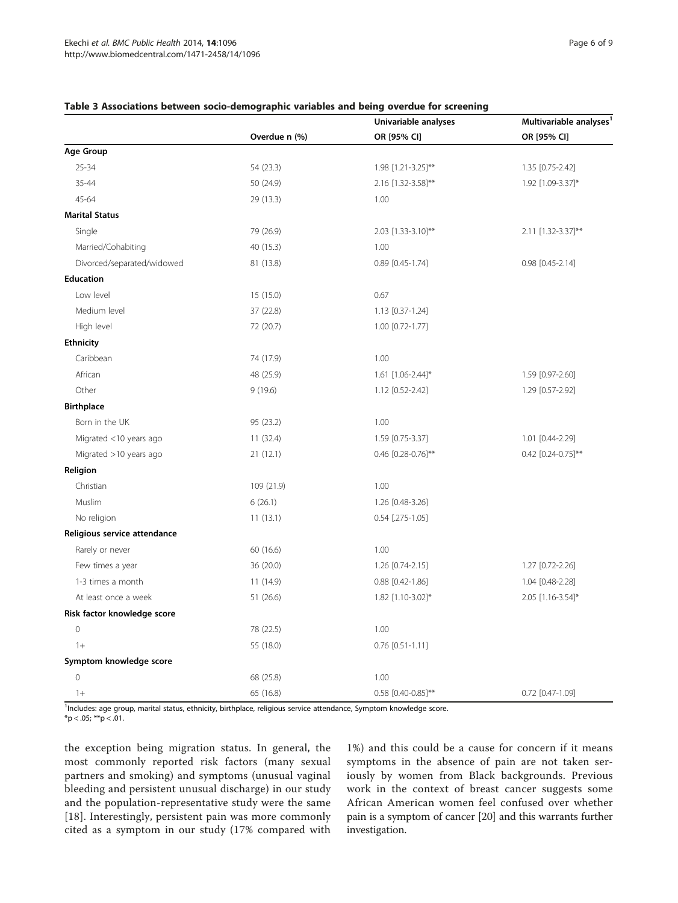|                              |               | Univariable analyses   | Multivariable analyses <sup>1</sup><br>OR [95% CI] |  |  |
|------------------------------|---------------|------------------------|----------------------------------------------------|--|--|
|                              | Overdue n (%) | OR [95% CI]            |                                                    |  |  |
| Age Group                    |               |                        |                                                    |  |  |
| 25-34                        | 54 (23.3)     | 1.98 [1.21-3.25]**     | 1.35 [0.75-2.42]                                   |  |  |
| 35-44                        | 50 (24.9)     | 2.16 [1.32-3.58]**     | 1.92 [1.09-3.37]*                                  |  |  |
| $45 - 64$                    | 29 (13.3)     | 1.00                   |                                                    |  |  |
| <b>Marital Status</b>        |               |                        |                                                    |  |  |
| Single                       | 79 (26.9)     | 2.03 [1.33-3.10]**     | 2.11 [1.32-3.37]**                                 |  |  |
| Married/Cohabiting           | 40 (15.3)     | 1.00                   |                                                    |  |  |
| Divorced/separated/widowed   | 81 (13.8)     | 0.89 [0.45-1.74]       | 0.98 [0.45-2.14]                                   |  |  |
| <b>Education</b>             |               |                        |                                                    |  |  |
| Low level                    | 15 (15.0)     | 0.67                   |                                                    |  |  |
| Medium level                 | 37 (22.8)     | 1.13 [0.37-1.24]       |                                                    |  |  |
| High level                   | 72 (20.7)     | 1.00 [0.72-1.77]       |                                                    |  |  |
| <b>Ethnicity</b>             |               |                        |                                                    |  |  |
| Caribbean                    | 74 (17.9)     | 1.00                   |                                                    |  |  |
| African                      | 48 (25.9)     | 1.61 [1.06-2.44]*      | 1.59 [0.97-2.60]                                   |  |  |
| Other                        | 9(19.6)       | 1.12 [0.52-2.42]       | 1.29 [0.57-2.92]                                   |  |  |
| <b>Birthplace</b>            |               |                        |                                                    |  |  |
| Born in the UK               | 95 (23.2)     | 1.00                   |                                                    |  |  |
| Migrated <10 years ago       | 11 (32.4)     | 1.59 [0.75-3.37]       | 1.01 [0.44-2.29]                                   |  |  |
| Migrated >10 years ago       | 21(12.1)      | 0.46 [0.28-0.76]**     | 0.42 [0.24-0.75]**                                 |  |  |
| Religion                     |               |                        |                                                    |  |  |
| Christian                    | 109 (21.9)    | 1.00                   |                                                    |  |  |
| Muslim                       | 6(26.1)       | 1.26 [0.48-3.26]       |                                                    |  |  |
| No religion                  | 11(13.1)      | $0.54$ [.275-1.05]     |                                                    |  |  |
| Religious service attendance |               |                        |                                                    |  |  |
| Rarely or never              | 60 (16.6)     | 1.00                   |                                                    |  |  |
| Few times a year             | 36 (20.0)     | 1.26 [0.74-2.15]       | 1.27 [0.72-2.26]                                   |  |  |
| 1-3 times a month            | 11(14.9)      | $0.88$ $[0.42 - 1.86]$ | 1.04 [0.48-2.28]                                   |  |  |
| At least once a week         | 51 (26.6)     | 1.82 [1.10-3.02]*      | 2.05 [1.16-3.54]*                                  |  |  |
| Risk factor knowledge score  |               |                        |                                                    |  |  |
| $\mathbf 0$                  | 78 (22.5)     | 1.00                   |                                                    |  |  |
| $1+$                         | 55 (18.0)     | $0.76$ $[0.51 - 1.11]$ |                                                    |  |  |
| Symptom knowledge score      |               |                        |                                                    |  |  |
| $\overline{0}$               | 68 (25.8)     | 1.00                   |                                                    |  |  |
| $1+$                         | 65 (16.8)     | 0.58 [0.40-0.85]**     | 0.72 [0.47-1.09]                                   |  |  |

## <span id="page-5-0"></span>Table 3 Associations between socio-demographic variables and being overdue for screening

<sup>1</sup>Includes: age group, marital status, ethnicity, birthplace, religious service attendance, Symptom knowledge score.

 $*p < .05; **p < .01.$ 

the exception being migration status. In general, the most commonly reported risk factors (many sexual partners and smoking) and symptoms (unusual vaginal bleeding and persistent unusual discharge) in our study and the population-representative study were the same [[18](#page-8-0)]. Interestingly, persistent pain was more commonly cited as a symptom in our study (17% compared with

1%) and this could be a cause for concern if it means symptoms in the absence of pain are not taken seriously by women from Black backgrounds. Previous work in the context of breast cancer suggests some African American women feel confused over whether pain is a symptom of cancer [\[20\]](#page-8-0) and this warrants further investigation.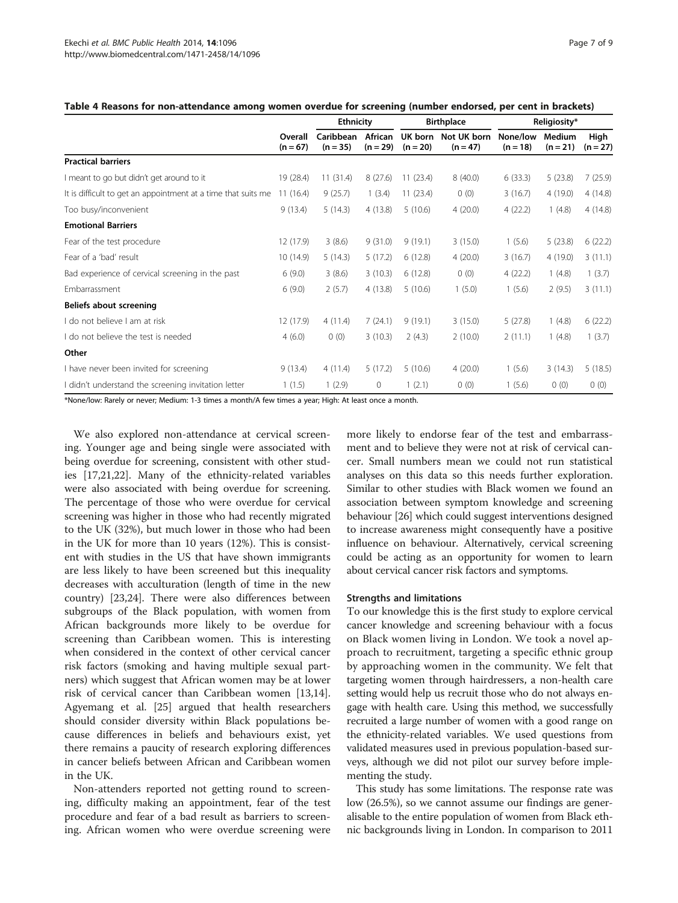<span id="page-6-0"></span>

| Table 4 Reasons for non-attendance among women overdue for screening (number endorsed, per cent in brackets) |  |  |  |
|--------------------------------------------------------------------------------------------------------------|--|--|--|
|--------------------------------------------------------------------------------------------------------------|--|--|--|

|                                                               | Overall<br>$(n = 67)$ | <b>Ethnicity</b>        |                       | <b>Birthplace</b>     |                           | Religiosity*           |                      |                    |
|---------------------------------------------------------------|-----------------------|-------------------------|-----------------------|-----------------------|---------------------------|------------------------|----------------------|--------------------|
|                                                               |                       | Caribbean<br>$(n = 35)$ | African<br>$(n = 29)$ | UK born<br>$(n = 20)$ | Not UK born<br>$(n = 47)$ | None/low<br>$(n = 18)$ | Medium<br>$(n = 21)$ | High<br>$(n = 27)$ |
| <b>Practical barriers</b>                                     |                       |                         |                       |                       |                           |                        |                      |                    |
| I meant to go but didn't get around to it                     | 19 (28.4)             | 11(31.4)                | 8(27.6)               | 11(23.4)              | 8(40.0)                   | 6(33.3)                | 5(23.8)              | 7(25.9)            |
| It is difficult to get an appointment at a time that suits me | 11(16.4)              | 9(25.7)                 | 1(3.4)                | 11(23.4)              | 0(0)                      | 3(16.7)                | 4(19.0)              | 4(14.8)            |
| Too busy/inconvenient                                         | 9(13.4)               | 5(14.3)                 | 4(13.8)               | 5(10.6)               | 4(20.0)                   | 4(22.2)                | 1(4.8)               | 4(14.8)            |
| <b>Emotional Barriers</b>                                     |                       |                         |                       |                       |                           |                        |                      |                    |
| Fear of the test procedure                                    | 12 (17.9)             | 3(8.6)                  | 9(31.0)               | 9(19.1)               | 3(15.0)                   | 1(5.6)                 | 5(23.8)              | 6(22.2)            |
| Fear of a 'bad' result                                        | 10(14.9)              | 5(14.3)                 | 5(17.2)               | 6(12.8)               | 4(20.0)                   | 3(16.7)                | 4(19.0)              | 3(11.1)            |
| Bad experience of cervical screening in the past              | 6(9.0)                | 3(8.6)                  | 3(10.3)               | 6(12.8)               | 0(0)                      | 4(22.2)                | 1(4.8)               | 1(3.7)             |
| Embarrassment                                                 | 6(9.0)                | 2(5.7)                  | 4(13.8)               | 5(10.6)               | 1(5.0)                    | 1(5.6)                 | 2(9.5)               | 3(11.1)            |
| Beliefs about screening                                       |                       |                         |                       |                       |                           |                        |                      |                    |
| I do not believe I am at risk                                 | 12 (17.9)             | 4(11.4)                 | 7(24.1)               | 9(19.1)               | 3(15.0)                   | 5(27.8)                | 1(4.8)               | 6(22.2)            |
| I do not believe the test is needed                           | 4(6.0)                | 0(0)                    | 3(10.3)               | 2(4.3)                | 2(10.0)                   | 2(11.1)                | 1(4.8)               | 1(3.7)             |
| Other                                                         |                       |                         |                       |                       |                           |                        |                      |                    |
| I have never been invited for screening                       | 9(13.4)               | 4(11.4)                 | 5(17.2)               | 5(10.6)               | 4(20.0)                   | 1(5.6)                 | 3(14.3)              | 5(18.5)            |
| I didn't understand the screening invitation letter           | 1(1.5)                | 1(2.9)                  | $\mathbf{0}$          | 1(2.1)                | 0(0)                      | 1(5.6)                 | 0(0)                 | 0(0)               |

\*None/low: Rarely or never; Medium: 1-3 times a month/A few times a year; High: At least once a month.

We also explored non-attendance at cervical screening. Younger age and being single were associated with being overdue for screening, consistent with other studies [\[17,21,22](#page-8-0)]. Many of the ethnicity-related variables were also associated with being overdue for screening. The percentage of those who were overdue for cervical screening was higher in those who had recently migrated to the UK (32%), but much lower in those who had been in the UK for more than 10 years (12%). This is consistent with studies in the US that have shown immigrants are less likely to have been screened but this inequality decreases with acculturation (length of time in the new country) [[23,24\]](#page-8-0). There were also differences between subgroups of the Black population, with women from African backgrounds more likely to be overdue for screening than Caribbean women. This is interesting when considered in the context of other cervical cancer risk factors (smoking and having multiple sexual partners) which suggest that African women may be at lower risk of cervical cancer than Caribbean women [\[13,14](#page-8-0)]. Agyemang et al. [\[25\]](#page-8-0) argued that health researchers should consider diversity within Black populations because differences in beliefs and behaviours exist, yet there remains a paucity of research exploring differences in cancer beliefs between African and Caribbean women in the UK.

Non-attenders reported not getting round to screening, difficulty making an appointment, fear of the test procedure and fear of a bad result as barriers to screening. African women who were overdue screening were

more likely to endorse fear of the test and embarrassment and to believe they were not at risk of cervical cancer. Small numbers mean we could not run statistical analyses on this data so this needs further exploration. Similar to other studies with Black women we found an association between symptom knowledge and screening behaviour [[26](#page-8-0)] which could suggest interventions designed to increase awareness might consequently have a positive influence on behaviour. Alternatively, cervical screening could be acting as an opportunity for women to learn about cervical cancer risk factors and symptoms.

#### Strengths and limitations

To our knowledge this is the first study to explore cervical cancer knowledge and screening behaviour with a focus on Black women living in London. We took a novel approach to recruitment, targeting a specific ethnic group by approaching women in the community. We felt that targeting women through hairdressers, a non-health care setting would help us recruit those who do not always engage with health care. Using this method, we successfully recruited a large number of women with a good range on the ethnicity-related variables. We used questions from validated measures used in previous population-based surveys, although we did not pilot our survey before implementing the study.

This study has some limitations. The response rate was low (26.5%), so we cannot assume our findings are generalisable to the entire population of women from Black ethnic backgrounds living in London. In comparison to 2011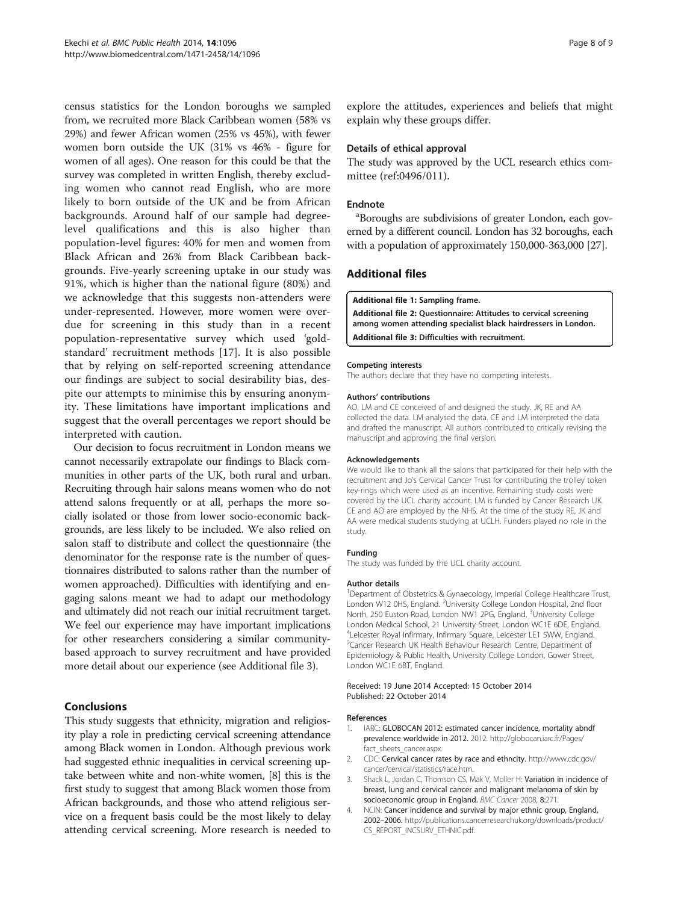<span id="page-7-0"></span>census statistics for the London boroughs we sampled from, we recruited more Black Caribbean women (58% vs 29%) and fewer African women (25% vs 45%), with fewer women born outside the UK (31% vs 46% - figure for women of all ages). One reason for this could be that the survey was completed in written English, thereby excluding women who cannot read English, who are more likely to born outside of the UK and be from African backgrounds. Around half of our sample had degreelevel qualifications and this is also higher than population-level figures: 40% for men and women from Black African and 26% from Black Caribbean backgrounds. Five-yearly screening uptake in our study was 91%, which is higher than the national figure (80%) and we acknowledge that this suggests non-attenders were under-represented. However, more women were overdue for screening in this study than in a recent population-representative survey which used 'goldstandard' recruitment methods [[17\]](#page-8-0). It is also possible that by relying on self-reported screening attendance our findings are subject to social desirability bias, despite our attempts to minimise this by ensuring anonymity. These limitations have important implications and suggest that the overall percentages we report should be interpreted with caution.

Our decision to focus recruitment in London means we cannot necessarily extrapolate our findings to Black communities in other parts of the UK, both rural and urban. Recruiting through hair salons means women who do not attend salons frequently or at all, perhaps the more socially isolated or those from lower socio-economic backgrounds, are less likely to be included. We also relied on salon staff to distribute and collect the questionnaire (the denominator for the response rate is the number of questionnaires distributed to salons rather than the number of women approached). Difficulties with identifying and engaging salons meant we had to adapt our methodology and ultimately did not reach our initial recruitment target. We feel our experience may have important implications for other researchers considering a similar communitybased approach to survey recruitment and have provided more detail about our experience (see Additional file 3).

## Conclusions

This study suggests that ethnicity, migration and religiosity play a role in predicting cervical screening attendance among Black women in London. Although previous work had suggested ethnic inequalities in cervical screening uptake between white and non-white women, [\[8\]](#page-8-0) this is the first study to suggest that among Black women those from African backgrounds, and those who attend religious service on a frequent basis could be the most likely to delay attending cervical screening. More research is needed to explore the attitudes, experiences and beliefs that might explain why these groups differ.

#### Details of ethical approval

The study was approved by the UCL research ethics committee (ref:0496/011).

#### Endnote

<sup>a</sup>Boroughs are subdivisions of greater London, each governed by a different council. London has 32 boroughs, each with a population of approximately 150,000-363,000 [[27](#page-8-0)].

## Additional files

#### [Additional file 1:](http://www.biomedcentral.com/content/supplementary/1471-2458-14-1096-S1.docx) Sampling frame.

[Additional file 2:](http://www.biomedcentral.com/content/supplementary/1471-2458-14-1096-S2.docx) Questionnaire: Attitudes to cervical screening among women attending specialist black hairdressers in London. [Additional file 3:](http://www.biomedcentral.com/content/supplementary/1471-2458-14-1096-S3.docx) Difficulties with recruitment.

#### Competing interests

The authors declare that they have no competing interests.

#### Authors' contributions

AO, LM and CE conceived of and designed the study. JK, RE and AA collected the data. LM analysed the data. CE and LM interpreted the data and drafted the manuscript. All authors contributed to critically revising the manuscript and approving the final version.

#### Acknowledgements

We would like to thank all the salons that participated for their help with the recruitment and Jo's Cervical Cancer Trust for contributing the trolley token key-rings which were used as an incentive. Remaining study costs were covered by the UCL charity account. LM is funded by Cancer Research UK. CE and AO are employed by the NHS. At the time of the study RE, JK and AA were medical students studying at UCLH. Funders played no role in the study.

#### Funding

The study was funded by the UCL charity account.

#### Author details

<sup>1</sup>Department of Obstetrics & Gynaecology, Imperial College Healthcare Trust, London W12 0HS, England. <sup>2</sup>University College London Hospital, 2nd floor North, 250 Euston Road, London NW1 2PG, England. <sup>3</sup>University College London Medical School, 21 University Street, London WC1E 6DE, England. 4 Leicester Royal Infirmary, Infirmary Square, Leicester LE1 5WW, England. 5 Cancer Research UK Health Behaviour Research Centre, Department of Epidemiology & Public Health, University College London, Gower Street, London WC1E 6BT, England.

#### Received: 19 June 2014 Accepted: 15 October 2014 Published: 22 October 2014

#### References

- 1. IARC: GLOBOCAN 2012: estimated cancer incidence, mortality abndf prevalence worldwide in 2012. 2012. [http://globocan.iarc.fr/Pages/](http://globocan.iarc.fr/Pages/fact_sheets_cancer.aspx) [fact\\_sheets\\_cancer.aspx.](http://globocan.iarc.fr/Pages/fact_sheets_cancer.aspx)
- 2. CDC: Cervical cancer rates by race and ethncity. [http://www.cdc.gov/](http://www.cdc.gov/cancer/cervical/statistics/race.htm) [cancer/cervical/statistics/race.htm.](http://www.cdc.gov/cancer/cervical/statistics/race.htm)
- 3. Shack L, Jordan C, Thomson CS, Mak V, Moller H: Variation in incidence of breast, lung and cervical cancer and malignant melanoma of skin by socioeconomic group in England. BMC Cancer 2008, 8:271
- 4. NCIN: Cancer incidence and survival by major ethnic group, England, 2002–2006. [http://publications.cancerresearchuk.org/downloads/product/](http://publications.cancerresearchuk.org/downloads/product/CS_REPORT_INCSURV_ETHNIC.pdf) [CS\\_REPORT\\_INCSURV\\_ETHNIC.pdf](http://publications.cancerresearchuk.org/downloads/product/CS_REPORT_INCSURV_ETHNIC.pdf).